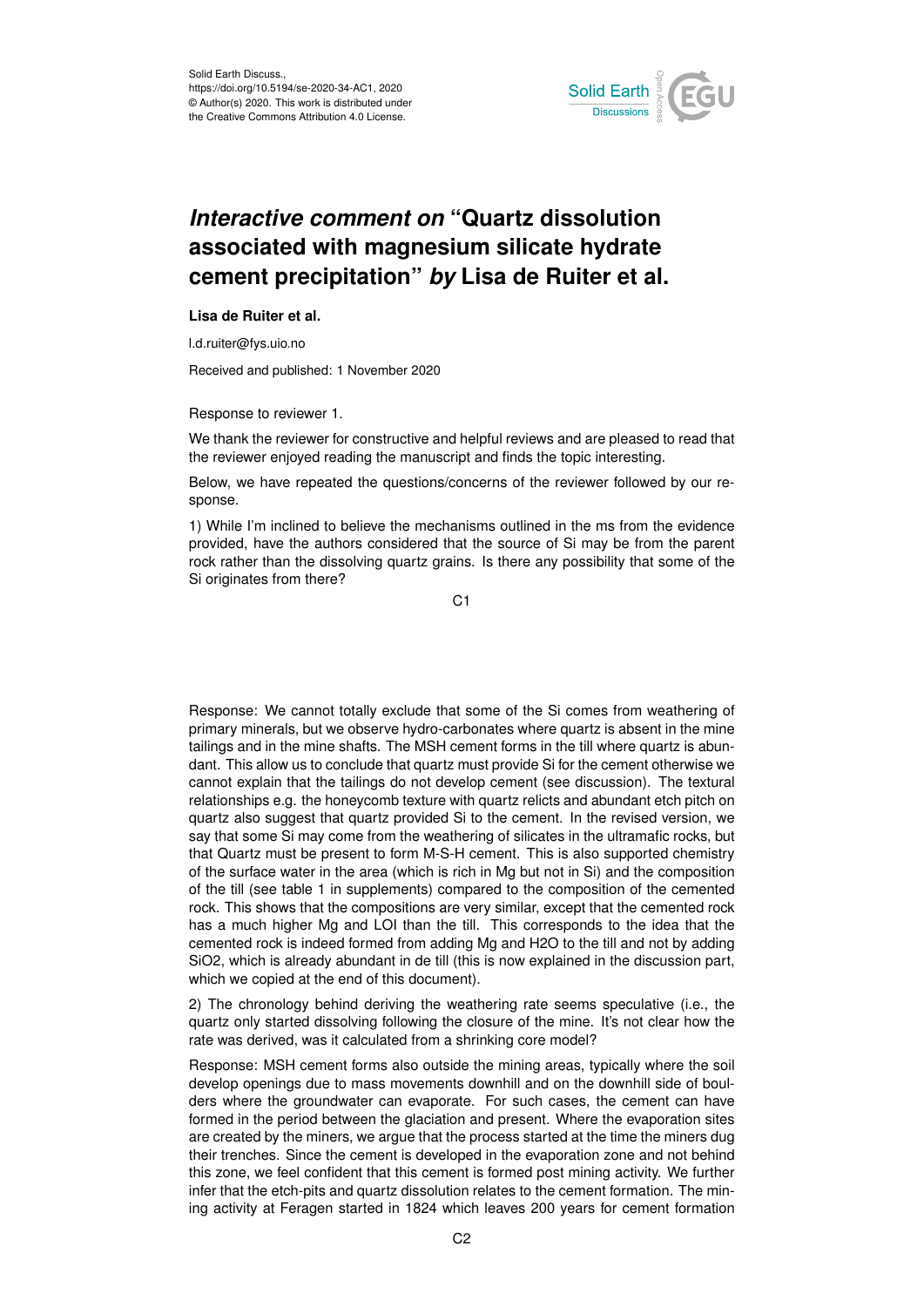

## *Interactive comment on* **"Quartz dissolution associated with magnesium silicate hydrate cement precipitation"** *by* **Lisa de Ruiter et al.**

## **Lisa de Ruiter et al.**

l.d.ruiter@fys.uio.no

Received and published: 1 November 2020

Response to reviewer 1.

We thank the reviewer for constructive and helpful reviews and are pleased to read that the reviewer enjoyed reading the manuscript and finds the topic interesting.

Below, we have repeated the questions/concerns of the reviewer followed by our response.

1) While I'm inclined to believe the mechanisms outlined in the ms from the evidence provided, have the authors considered that the source of Si may be from the parent rock rather than the dissolving quartz grains. Is there any possibility that some of the Si originates from there?

C<sub>1</sub>

Response: We cannot totally exclude that some of the Si comes from weathering of primary minerals, but we observe hydro-carbonates where quartz is absent in the mine tailings and in the mine shafts. The MSH cement forms in the till where quartz is abundant. This allow us to conclude that quartz must provide Si for the cement otherwise we cannot explain that the tailings do not develop cement (see discussion). The textural relationships e.g. the honeycomb texture with quartz relicts and abundant etch pitch on quartz also suggest that quartz provided Si to the cement. In the revised version, we say that some Si may come from the weathering of silicates in the ultramafic rocks, but that Quartz must be present to form M-S-H cement. This is also supported chemistry of the surface water in the area (which is rich in Mg but not in Si) and the composition of the till (see table 1 in supplements) compared to the composition of the cemented rock. This shows that the compositions are very similar, except that the cemented rock has a much higher Mg and LOI than the till. This corresponds to the idea that the cemented rock is indeed formed from adding Mg and H2O to the till and not by adding SiO2, which is already abundant in de till (this is now explained in the discussion part, which we copied at the end of this document).

2) The chronology behind deriving the weathering rate seems speculative (i.e., the quartz only started dissolving following the closure of the mine. It's not clear how the rate was derived, was it calculated from a shrinking core model?

Response: MSH cement forms also outside the mining areas, typically where the soil develop openings due to mass movements downhill and on the downhill side of boulders where the groundwater can evaporate. For such cases, the cement can have formed in the period between the glaciation and present. Where the evaporation sites are created by the miners, we argue that the process started at the time the miners dug their trenches. Since the cement is developed in the evaporation zone and not behind this zone, we feel confident that this cement is formed post mining activity. We further infer that the etch-pits and quartz dissolution relates to the cement formation. The mining activity at Feragen started in 1824 which leaves 200 years for cement formation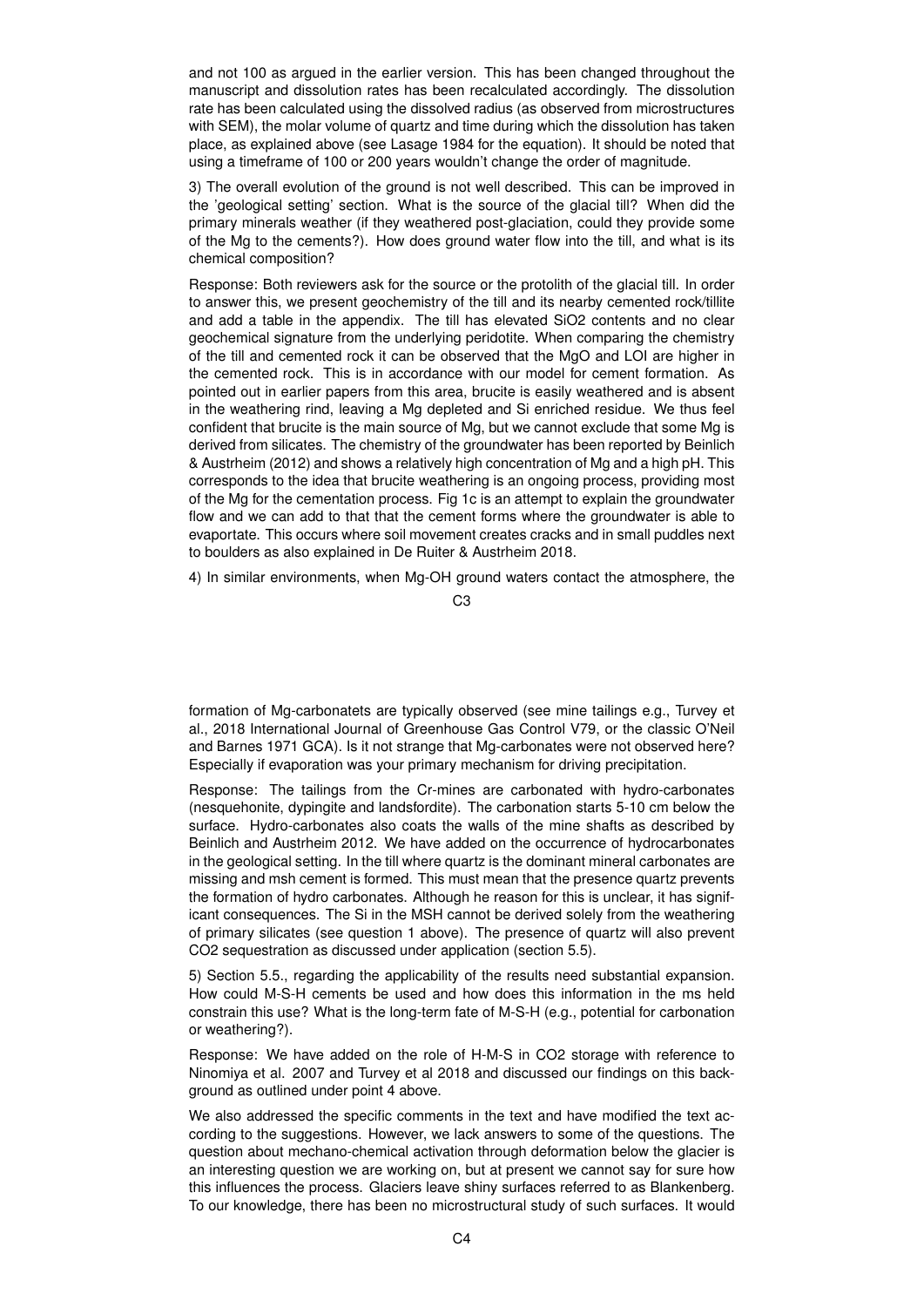and not 100 as argued in the earlier version. This has been changed throughout the manuscript and dissolution rates has been recalculated accordingly. The dissolution rate has been calculated using the dissolved radius (as observed from microstructures with SEM), the molar volume of quartz and time during which the dissolution has taken place, as explained above (see Lasage 1984 for the equation). It should be noted that using a timeframe of 100 or 200 years wouldn't change the order of magnitude.

3) The overall evolution of the ground is not well described. This can be improved in the 'geological setting' section. What is the source of the glacial till? When did the primary minerals weather (if they weathered post-glaciation, could they provide some of the Mg to the cements?). How does ground water flow into the till, and what is its chemical composition?

Response: Both reviewers ask for the source or the protolith of the glacial till. In order to answer this, we present geochemistry of the till and its nearby cemented rock/tillite and add a table in the appendix. The till has elevated SiO2 contents and no clear geochemical signature from the underlying peridotite. When comparing the chemistry of the till and cemented rock it can be observed that the MgO and LOI are higher in the cemented rock. This is in accordance with our model for cement formation. As pointed out in earlier papers from this area, brucite is easily weathered and is absent in the weathering rind, leaving a Mg depleted and Si enriched residue. We thus feel confident that brucite is the main source of Mg, but we cannot exclude that some Mg is derived from silicates. The chemistry of the groundwater has been reported by Beinlich & Austrheim (2012) and shows a relatively high concentration of Mg and a high pH. This corresponds to the idea that brucite weathering is an ongoing process, providing most of the Mg for the cementation process. Fig 1c is an attempt to explain the groundwater flow and we can add to that that the cement forms where the groundwater is able to evaportate. This occurs where soil movement creates cracks and in small puddles next to boulders as also explained in De Ruiter & Austrheim 2018.

4) In similar environments, when Mg-OH ground waters contact the atmosphere, the

C3

formation of Mg-carbonatets are typically observed (see mine tailings e.g., Turvey et al., 2018 International Journal of Greenhouse Gas Control V79, or the classic O'Neil and Barnes 1971 GCA). Is it not strange that Mg-carbonates were not observed here? Especially if evaporation was your primary mechanism for driving precipitation.

Response: The tailings from the Cr-mines are carbonated with hydro-carbonates (nesquehonite, dypingite and landsfordite). The carbonation starts 5-10 cm below the surface. Hydro-carbonates also coats the walls of the mine shafts as described by Beinlich and Austrheim 2012. We have added on the occurrence of hydrocarbonates in the geological setting. In the till where quartz is the dominant mineral carbonates are missing and msh cement is formed. This must mean that the presence quartz prevents the formation of hydro carbonates. Although he reason for this is unclear, it has significant consequences. The Si in the MSH cannot be derived solely from the weathering of primary silicates (see question 1 above). The presence of quartz will also prevent CO2 sequestration as discussed under application (section 5.5).

5) Section 5.5., regarding the applicability of the results need substantial expansion. How could M-S-H cements be used and how does this information in the ms held constrain this use? What is the long-term fate of M-S-H (e.g., potential for carbonation or weathering?).

Response: We have added on the role of H-M-S in CO2 storage with reference to Ninomiya et al. 2007 and Turvey et al 2018 and discussed our findings on this background as outlined under point 4 above.

We also addressed the specific comments in the text and have modified the text according to the suggestions. However, we lack answers to some of the questions. The question about mechano-chemical activation through deformation below the glacier is an interesting question we are working on, but at present we cannot say for sure how this influences the process. Glaciers leave shiny surfaces referred to as Blankenberg. To our knowledge, there has been no microstructural study of such surfaces. It would